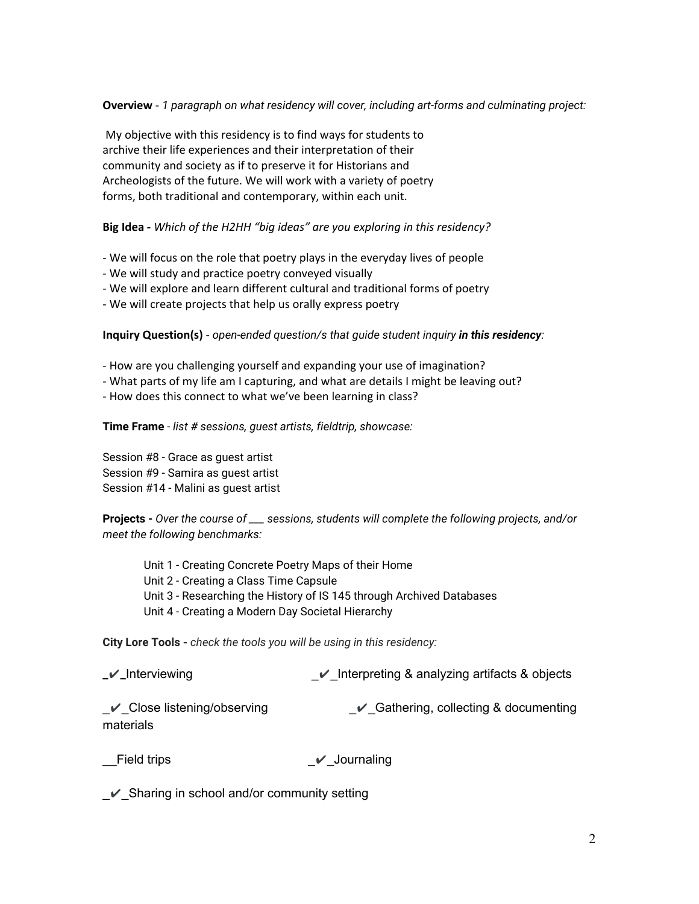## **Overview** - *1 paragraph on what residency will cover, including art-forms and culminating project:*

 My objective with this residency is to find ways for students to archive their life experiences and their interpretation of their community and society as if to preserve it for Historians and Archeologists of the future. We will work with a variety of poetry forms, both traditional and contemporary, within each unit.

# **Big Idea -** *Which of the H2HH "big ideas" are you exploring in this residency?*

- We will focus on the role that poetry plays in the everyday lives of people
- We will study and practice poetry conveyed visually
- We will explore and learn different cultural and traditional forms of poetry
- We will create projects that help us orally express poetry

## **Inquiry Question(s)** - *open-ended question/s that guide student inquiry in this residency:*

- How are you challenging yourself and expanding your use of imagination?
- What parts of my life am I capturing, and what are details I might be leaving out?
- How does this connect to what we've been learning in class?

## **Time Frame** - *list # sessions, guest artists, fieldtrip, showcase:*

Session #8 - Grace as guest artist Session #9 - Samira as guest artist Session #14 - Malini as guest artist

**Projects -** *Over the course of \_\_\_ sessions, students will complete the following projects, and/or meet the following benchmarks:*

Unit 1 - Creating Concrete Poetry Maps of their Home Unit 2 - Creating a Class Time Capsule Unit 3 - Researching the History of IS 145 through Archived Databases Unit 4 - Creating a Modern Day Societal Hierarchy

**City Lore Tools -** *check the tools you will be using in this residency:*

| $\mathcal{N}$ _Interviewing                   | $\vee$ Interpreting & analyzing artifacts & objects |
|-----------------------------------------------|-----------------------------------------------------|
| $\vee$ Close listening/observing<br>materials | Gathering, collecting & documenting                 |

Field trips **a** ⊿ Journaling

\_✔\_Sharing in school and/or community setting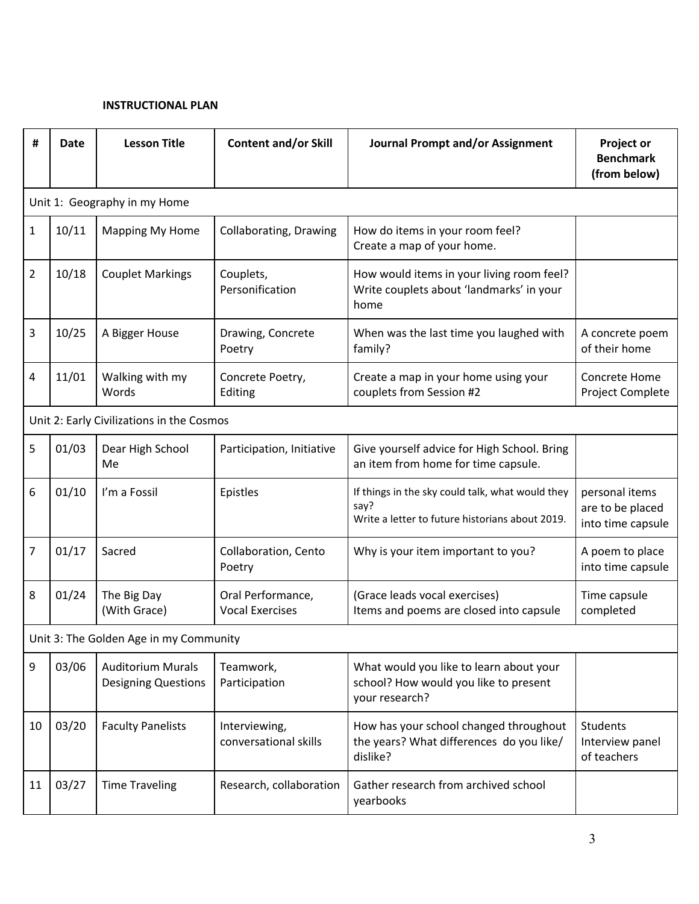## **INSTRUCTIONAL PLAN**

| #                                      | Date                                      | <b>Lesson Title</b>                                    | <b>Content and/or Skill</b>                 | <b>Journal Prompt and/or Assignment</b>                                                                     | <b>Project or</b><br><b>Benchmark</b><br>(from below)   |
|----------------------------------------|-------------------------------------------|--------------------------------------------------------|---------------------------------------------|-------------------------------------------------------------------------------------------------------------|---------------------------------------------------------|
|                                        |                                           | Unit 1: Geography in my Home                           |                                             |                                                                                                             |                                                         |
| 1                                      | 10/11                                     | <b>Mapping My Home</b>                                 | Collaborating, Drawing                      | How do items in your room feel?<br>Create a map of your home.                                               |                                                         |
| 2                                      | 10/18                                     | <b>Couplet Markings</b>                                | Couplets,<br>Personification                | How would items in your living room feel?<br>Write couplets about 'landmarks' in your<br>home               |                                                         |
| 3                                      | 10/25                                     | A Bigger House                                         | Drawing, Concrete<br>Poetry                 | When was the last time you laughed with<br>family?                                                          | A concrete poem<br>of their home                        |
| 4                                      | 11/01                                     | Walking with my<br>Words                               | Concrete Poetry,<br>Editing                 | Create a map in your home using your<br>couplets from Session #2                                            | Concrete Home<br><b>Project Complete</b>                |
|                                        | Unit 2: Early Civilizations in the Cosmos |                                                        |                                             |                                                                                                             |                                                         |
| 5                                      | 01/03                                     | Dear High School<br>Me                                 | Participation, Initiative                   | Give yourself advice for High School. Bring<br>an item from home for time capsule.                          |                                                         |
| 6                                      | 01/10                                     | I'm a Fossil                                           | Epistles                                    | If things in the sky could talk, what would they<br>say?<br>Write a letter to future historians about 2019. | personal items<br>are to be placed<br>into time capsule |
| 7                                      | 01/17                                     | Sacred                                                 | Collaboration, Cento<br>Poetry              | Why is your item important to you?                                                                          | A poem to place<br>into time capsule                    |
| 8                                      | 01/24                                     | The Big Day<br>(With Grace)                            | Oral Performance,<br><b>Vocal Exercises</b> | (Grace leads vocal exercises)<br>Items and poems are closed into capsule                                    | Time capsule<br>completed                               |
| Unit 3: The Golden Age in my Community |                                           |                                                        |                                             |                                                                                                             |                                                         |
| 9                                      | 03/06                                     | <b>Auditorium Murals</b><br><b>Designing Questions</b> | Teamwork,<br>Participation                  | What would you like to learn about your<br>school? How would you like to present<br>your research?          |                                                         |
| 10                                     | 03/20                                     | <b>Faculty Panelists</b>                               | Interviewing,<br>conversational skills      | How has your school changed throughout<br>the years? What differences do you like/<br>dislike?              | <b>Students</b><br>Interview panel<br>of teachers       |
| 11                                     | 03/27                                     | <b>Time Traveling</b>                                  | Research, collaboration                     | Gather research from archived school<br>yearbooks                                                           |                                                         |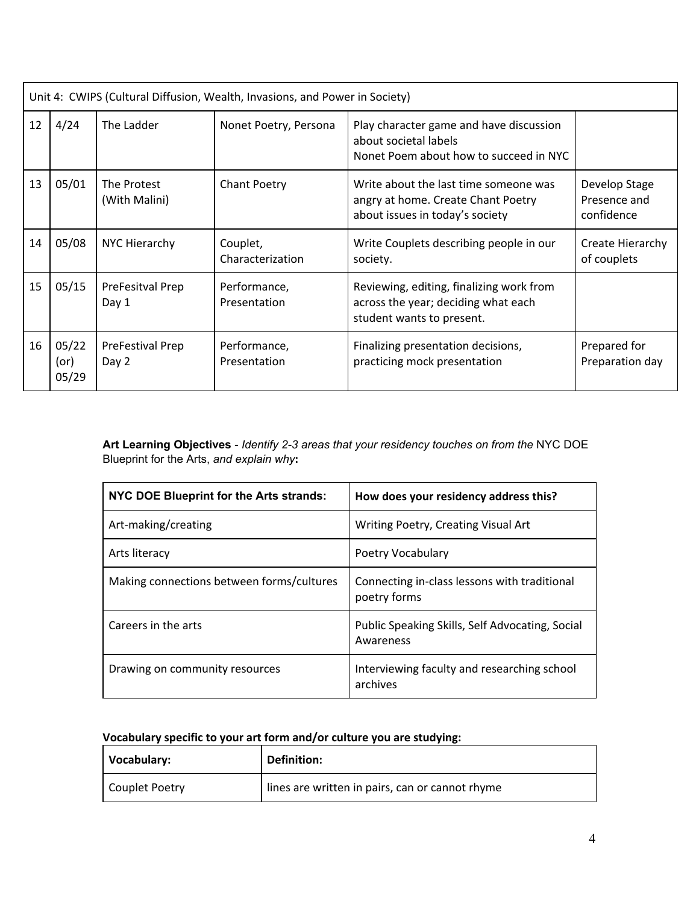|    | Unit 4: CWIPS (Cultural Diffusion, Wealth, Invasions, and Power in Society) |                              |                              |                                                                                                                |                                             |
|----|-----------------------------------------------------------------------------|------------------------------|------------------------------|----------------------------------------------------------------------------------------------------------------|---------------------------------------------|
| 12 | 4/24                                                                        | The Ladder                   | Nonet Poetry, Persona        | Play character game and have discussion<br>about societal labels<br>Nonet Poem about how to succeed in NYC     |                                             |
| 13 | 05/01                                                                       | The Protest<br>(With Malini) | <b>Chant Poetry</b>          | Write about the last time someone was<br>angry at home. Create Chant Poetry<br>about issues in today's society | Develop Stage<br>Presence and<br>confidence |
| 14 | 05/08                                                                       | NYC Hierarchy                | Couplet,<br>Characterization | Write Couplets describing people in our<br>society.                                                            | Create Hierarchy<br>of couplets             |
| 15 | 05/15                                                                       | PreFesitval Prep<br>Day 1    | Performance,<br>Presentation | Reviewing, editing, finalizing work from<br>across the year; deciding what each<br>student wants to present.   |                                             |
| 16 | 05/22<br>(<br>05/29                                                         | PreFestival Prep<br>Day 2    | Performance,<br>Presentation | Finalizing presentation decisions,<br>practicing mock presentation                                             | Prepared for<br>Preparation day             |

**Art Learning Objectives** - *Identify 2-3 areas that your residency touches on from the* NYC DOE Blueprint for the Arts, *and explain why***:**

| NYC DOE Blueprint for the Arts strands:   | How does your residency address this?                        |
|-------------------------------------------|--------------------------------------------------------------|
| Art-making/creating                       | Writing Poetry, Creating Visual Art                          |
| Arts literacy                             | Poetry Vocabulary                                            |
| Making connections between forms/cultures | Connecting in-class lessons with traditional<br>poetry forms |
| Careers in the arts                       | Public Speaking Skills, Self Advocating, Social<br>Awareness |
| Drawing on community resources            | Interviewing faculty and researching school<br>archives      |

# **Vocabulary specific to your art form and/or culture you are studying:**

| Vocabulary:    | <b>Definition:</b>                              |
|----------------|-------------------------------------------------|
| Couplet Poetry | lines are written in pairs, can or cannot rhyme |